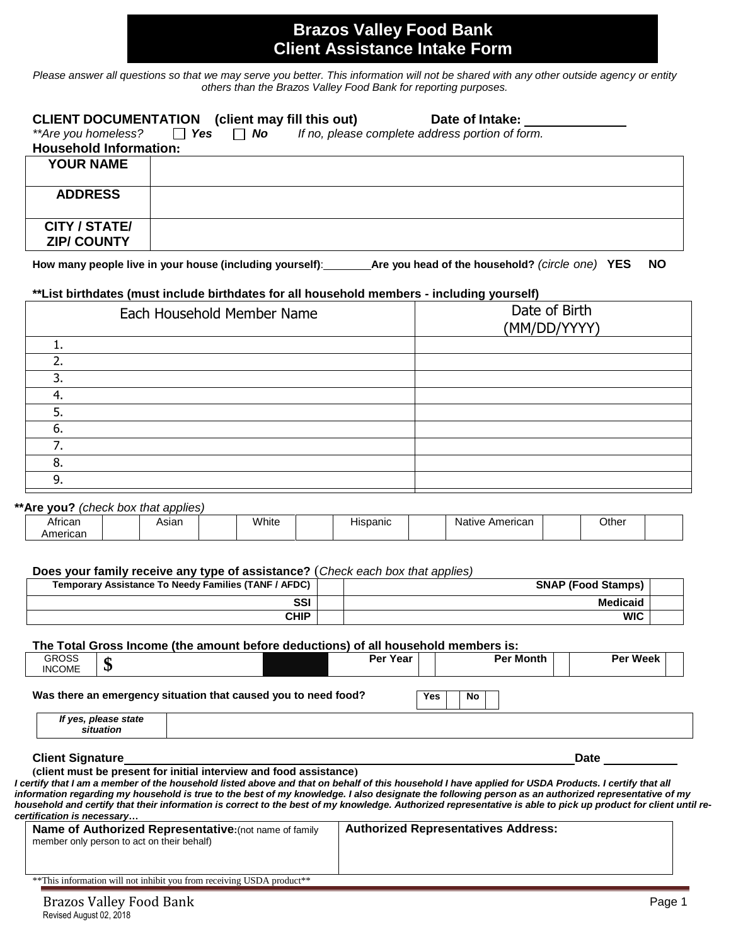## **Brazos Valley Food Bank Client Assistance Intake Form**

*Please answer all questions so that we may serve you better. This information will not be shared with any other outside agency or entity others than the Brazos Valley Food Bank for reporting purposes.*

| **Are you homeless?<br><b>Household Information:</b> | <b>CLIENT DOCUMENTATION</b> (client may fill this out)<br>Date of Intake:<br>$\Box$ Yes $\Box$ No<br>If no, please complete address portion of form. |
|------------------------------------------------------|------------------------------------------------------------------------------------------------------------------------------------------------------|
| <b>YOUR NAME</b>                                     |                                                                                                                                                      |
| <b>ADDRESS</b>                                       |                                                                                                                                                      |
| <b>CITY / STATE/</b><br><b>ZIP/ COUNTY</b>           |                                                                                                                                                      |

**How many people live in your house (including yourself)**: **Are you head of the household?** *(circle one)* **YES NO**

#### **\*\*List birthdates (must include birthdates for all household members - including yourself)**

|     | Each Household Member Name | Date of Birth<br>(MM/DD/YYYY) |
|-----|----------------------------|-------------------------------|
|     |                            |                               |
|     |                            |                               |
| 3.  |                            |                               |
| -4. |                            |                               |
| 5.  |                            |                               |
| 6.  |                            |                               |
|     |                            |                               |
| 8.  |                            |                               |
| 9.  |                            |                               |
|     |                            |                               |

### **\*\*Are you?** *(check box that applies)*

| African     | ווסוכר | White | .<br>п.<br>יוו ווזי | Americar<br>Nε<br>tive<br>. . | Other |  |
|-------------|--------|-------|---------------------|-------------------------------|-------|--|
| oric.<br>Ηı |        |       |                     |                               |       |  |

### **Does your family receive any type of assistance?** (*Check each box that applies)*

| Temporary Assistance To Needy Families (TANF / AFDC) | <b>SNAP (Food Stamps)</b> |  |
|------------------------------------------------------|---------------------------|--|
| <b>SSI</b>                                           | Medicaid                  |  |
| <b>CHIP</b>                                          | <b>WIC</b>                |  |

#### **The Total Gross Income (the amount before deductions) of all household members is:**

| <b>GROSS</b><br><b>INCOME</b> | ¢<br>Φ                                     |                                                                                                                                                                                                                                                                                                                                                                                                                                                                               | Per Year                                   | <b>Per Month</b> | <b>Per Week</b> |
|-------------------------------|--------------------------------------------|-------------------------------------------------------------------------------------------------------------------------------------------------------------------------------------------------------------------------------------------------------------------------------------------------------------------------------------------------------------------------------------------------------------------------------------------------------------------------------|--------------------------------------------|------------------|-----------------|
|                               |                                            | Was there an emergency situation that caused you to need food?                                                                                                                                                                                                                                                                                                                                                                                                                | Yes                                        | No.              |                 |
|                               | If yes, please state<br>situation          |                                                                                                                                                                                                                                                                                                                                                                                                                                                                               |                                            |                  |                 |
| <b>Client Signature</b>       |                                            |                                                                                                                                                                                                                                                                                                                                                                                                                                                                               |                                            |                  | <b>Date</b>     |
| certification is necessary    |                                            | l certify that I am a member of the household listed above and that on behalf of this household I have applied for USDA Products. I certify that all<br>information regarding my household is true to the best of my knowledge. I also designate the following person as an authorized representative of my<br>household and certify that their information is correct to the best of my knowledge. Authorized representative is able to pick up product for client until re- |                                            |                  |                 |
|                               | member only person to act on their behalf) | Name of Authorized Representative: (not name of family                                                                                                                                                                                                                                                                                                                                                                                                                        | <b>Authorized Representatives Address:</b> |                  |                 |
|                               |                                            | ** This information will not inhibit you from receiving USDA product**                                                                                                                                                                                                                                                                                                                                                                                                        |                                            |                  |                 |
|                               | <b>Brazos Valley Food Bank</b>             |                                                                                                                                                                                                                                                                                                                                                                                                                                                                               |                                            |                  | Page 1          |